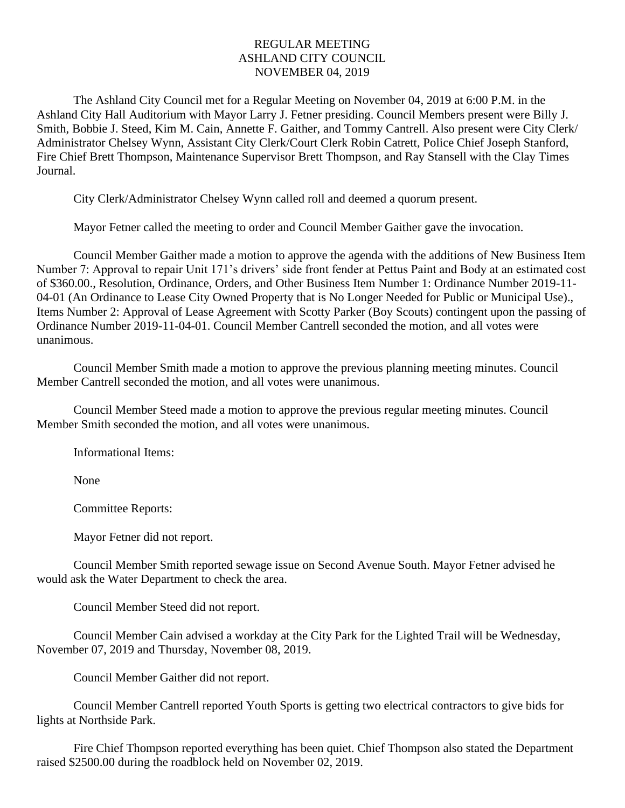## REGULAR MEETING ASHLAND CITY COUNCIL NOVEMBER 04, 2019

The Ashland City Council met for a Regular Meeting on November 04, 2019 at 6:00 P.M. in the Ashland City Hall Auditorium with Mayor Larry J. Fetner presiding. Council Members present were Billy J. Smith, Bobbie J. Steed, Kim M. Cain, Annette F. Gaither, and Tommy Cantrell. Also present were City Clerk/ Administrator Chelsey Wynn, Assistant City Clerk/Court Clerk Robin Catrett, Police Chief Joseph Stanford, Fire Chief Brett Thompson, Maintenance Supervisor Brett Thompson, and Ray Stansell with the Clay Times Journal.

City Clerk/Administrator Chelsey Wynn called roll and deemed a quorum present.

Mayor Fetner called the meeting to order and Council Member Gaither gave the invocation.

Council Member Gaither made a motion to approve the agenda with the additions of New Business Item Number 7: Approval to repair Unit 171's drivers' side front fender at Pettus Paint and Body at an estimated cost of \$360.00., Resolution, Ordinance, Orders, and Other Business Item Number 1: Ordinance Number 2019-11- 04-01 (An Ordinance to Lease City Owned Property that is No Longer Needed for Public or Municipal Use)., Items Number 2: Approval of Lease Agreement with Scotty Parker (Boy Scouts) contingent upon the passing of Ordinance Number 2019-11-04-01. Council Member Cantrell seconded the motion, and all votes were unanimous.

Council Member Smith made a motion to approve the previous planning meeting minutes. Council Member Cantrell seconded the motion, and all votes were unanimous.

Council Member Steed made a motion to approve the previous regular meeting minutes. Council Member Smith seconded the motion, and all votes were unanimous.

Informational Items:

None

Committee Reports:

Mayor Fetner did not report.

Council Member Smith reported sewage issue on Second Avenue South. Mayor Fetner advised he would ask the Water Department to check the area.

Council Member Steed did not report.

Council Member Cain advised a workday at the City Park for the Lighted Trail will be Wednesday, November 07, 2019 and Thursday, November 08, 2019.

Council Member Gaither did not report.

Council Member Cantrell reported Youth Sports is getting two electrical contractors to give bids for lights at Northside Park.

Fire Chief Thompson reported everything has been quiet. Chief Thompson also stated the Department raised \$2500.00 during the roadblock held on November 02, 2019.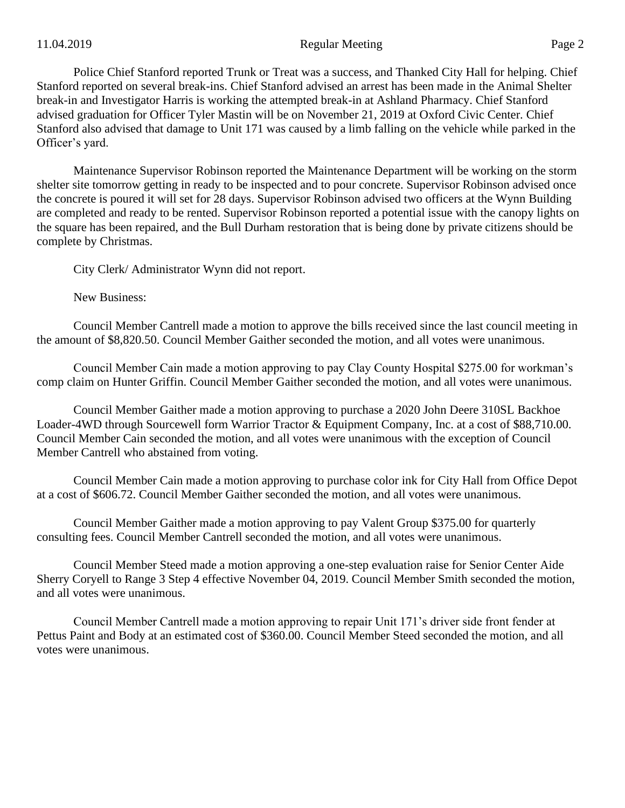## 11.04.2019 Page 2

Police Chief Stanford reported Trunk or Treat was a success, and Thanked City Hall for helping. Chief Stanford reported on several break-ins. Chief Stanford advised an arrest has been made in the Animal Shelter break-in and Investigator Harris is working the attempted break-in at Ashland Pharmacy. Chief Stanford advised graduation for Officer Tyler Mastin will be on November 21, 2019 at Oxford Civic Center. Chief Stanford also advised that damage to Unit 171 was caused by a limb falling on the vehicle while parked in the Officer's yard.

Maintenance Supervisor Robinson reported the Maintenance Department will be working on the storm shelter site tomorrow getting in ready to be inspected and to pour concrete. Supervisor Robinson advised once the concrete is poured it will set for 28 days. Supervisor Robinson advised two officers at the Wynn Building are completed and ready to be rented. Supervisor Robinson reported a potential issue with the canopy lights on the square has been repaired, and the Bull Durham restoration that is being done by private citizens should be complete by Christmas.

City Clerk/ Administrator Wynn did not report.

New Business:

Council Member Cantrell made a motion to approve the bills received since the last council meeting in the amount of \$8,820.50. Council Member Gaither seconded the motion, and all votes were unanimous.

Council Member Cain made a motion approving to pay Clay County Hospital \$275.00 for workman's comp claim on Hunter Griffin. Council Member Gaither seconded the motion, and all votes were unanimous.

Council Member Gaither made a motion approving to purchase a 2020 John Deere 310SL Backhoe Loader-4WD through Sourcewell form Warrior Tractor & Equipment Company, Inc. at a cost of \$88,710.00. Council Member Cain seconded the motion, and all votes were unanimous with the exception of Council Member Cantrell who abstained from voting.

Council Member Cain made a motion approving to purchase color ink for City Hall from Office Depot at a cost of \$606.72. Council Member Gaither seconded the motion, and all votes were unanimous.

Council Member Gaither made a motion approving to pay Valent Group \$375.00 for quarterly consulting fees. Council Member Cantrell seconded the motion, and all votes were unanimous.

Council Member Steed made a motion approving a one-step evaluation raise for Senior Center Aide Sherry Coryell to Range 3 Step 4 effective November 04, 2019. Council Member Smith seconded the motion, and all votes were unanimous.

Council Member Cantrell made a motion approving to repair Unit 171's driver side front fender at Pettus Paint and Body at an estimated cost of \$360.00. Council Member Steed seconded the motion, and all votes were unanimous.